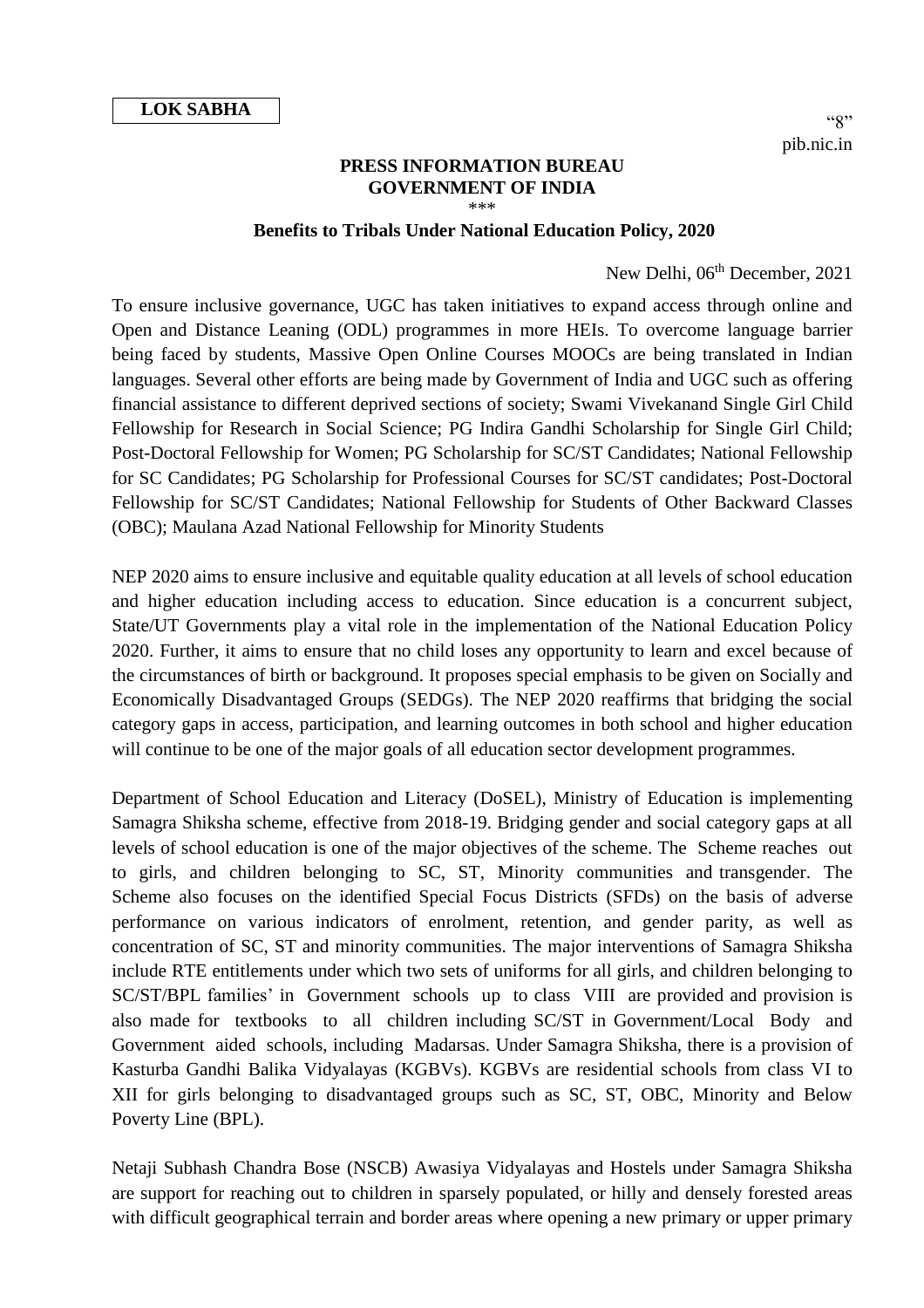## **PRESS INFORMATION BUREAU GOVERNMENT OF INDIA** \*\*\*

## **Benefits to Tribals Under National Education Policy, 2020**

## New Delhi, 06<sup>th</sup> December, 2021

To ensure inclusive governance, UGC has taken initiatives to expand access through online and Open and Distance Leaning (ODL) programmes in more HEIs. To overcome language barrier being faced by students, Massive Open Online Courses MOOCs are being translated in Indian languages. Several other efforts are being made by Government of India and UGC such as offering financial assistance to different deprived sections of society; Swami Vivekanand Single Girl Child Fellowship for Research in Social Science; PG Indira Gandhi Scholarship for Single Girl Child; Post-Doctoral Fellowship for Women; PG Scholarship for SC/ST Candidates; National Fellowship for SC Candidates; PG Scholarship for Professional Courses for SC/ST candidates; Post-Doctoral Fellowship for SC/ST Candidates; National Fellowship for Students of Other Backward Classes (OBC); Maulana Azad National Fellowship for Minority Students

NEP 2020 aims to ensure inclusive and equitable quality education at all levels of school education and higher education including access to education. Since education is a concurrent subject, State/UT Governments play a vital role in the implementation of the National Education Policy 2020. Further, it aims to ensure that no child loses any opportunity to learn and excel because of the circumstances of birth or background. It proposes special emphasis to be given on Socially and Economically Disadvantaged Groups (SEDGs). The NEP 2020 reaffirms that bridging the social category gaps in access, participation, and learning outcomes in both school and higher education will continue to be one of the major goals of all education sector development programmes.

Department of School Education and Literacy (DoSEL), Ministry of Education is implementing Samagra Shiksha scheme, effective from 2018-19. Bridging gender and social category gaps at all levels of school education is one of the major objectives of the scheme. The Scheme reaches out to girls, and children belonging to SC, ST, Minority communities and transgender. The Scheme also focuses on the identified Special Focus Districts (SFDs) on the basis of adverse performance on various indicators of enrolment, retention, and gender parity, as well as concentration of SC, ST and minority communities. The major interventions of Samagra Shiksha include RTE entitlements under which two sets of uniforms for all girls, and children belonging to SC/ST/BPL families' in Government schools up to class VIII are provided and provision is also made for textbooks to all children including SC/ST in Government/Local Body and Government aided schools, including Madarsas. Under Samagra Shiksha, there is a provision of Kasturba Gandhi Balika Vidyalayas (KGBVs). KGBVs are residential schools from class VI to XII for girls belonging to disadvantaged groups such as SC, ST, OBC, Minority and Below Poverty Line (BPL).

Netaji Subhash Chandra Bose (NSCB) Awasiya Vidyalayas and Hostels under Samagra Shiksha are support for reaching out to children in sparsely populated, or hilly and densely forested areas with difficult geographical terrain and border areas where opening a new primary or upper primary